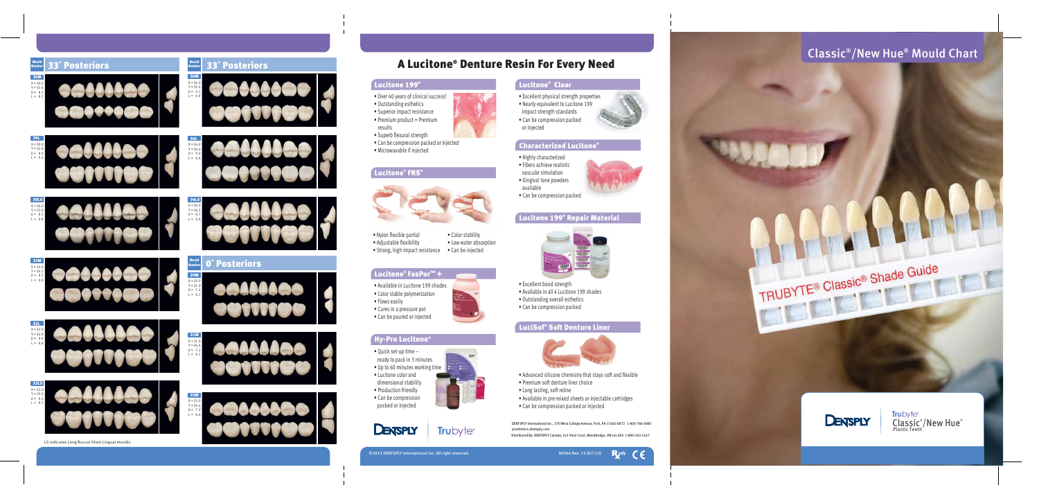



©2013 DENTSPLY International Inc. All right reserved. 89564 Rev. 14 (07/13)



DENTSPLY International Inc., 570 West College Avenue, York, PA 17405-0872 1-800-786-0085 prosthetics.dentsply.com

DIstributed By: DENTSPLY Canada, 161 Vinyl Court, Woodbridge, ON L4L 4A3 1-800-263-1437



# A Lucitone ® Denture Resin For Every Need

#### Lucitone 199 ®

- Over 40 years of clinical success!
- Outstanding esthetics
- Superior impact resistance
- Premium product = Premium results
- Superb flexural strength
- Can be compression packed or injected
- 

• Highly characterized

• Fibers achieve realistic vascular simulation



• Can be compression packed

- Advanced silicone chemistry that stays soft and flexible
- Premium soft denture liner choice
- Long lasting, soft reline
- Available in pre-mixed sheets or injectable cartridges
- Can be compression packed or injected
- Excellent bond strength
- Available in all 4 Lucitone 199 shades
- Outstanding overall esthetics
- Can be compression packed

## LuciSof® Soft Denture Liner





- Available in Lucitone 199 shades
- Color stable polymerization
- Flows easily
- Cures in a pressure pot
- Can be poured or injected

### Hy-Pro Lucitone ®

- Quick set-up time ready to pack in 3 minutes
- Up to 60 minutes working time
- Lucitone color and
- dimensional stability
- Production friendly
- Can be compression packed or injected



# **Trubyte®**

## Lucitone ® Clear

- Excellent physical strength properties
- Nearly equivalent to Lucitone 199 impact strength standards • Can be compression packed



## • Can be compression packed or injected<br>• Microwavable if injected

or injected

#### Lucitone ® FRS ®



- Nylon flexible partial
- Adjustable flexibility
- Strong, high impact resistance Can be injected
	-

• Color stability

#### Lucitone® FasPor™ +